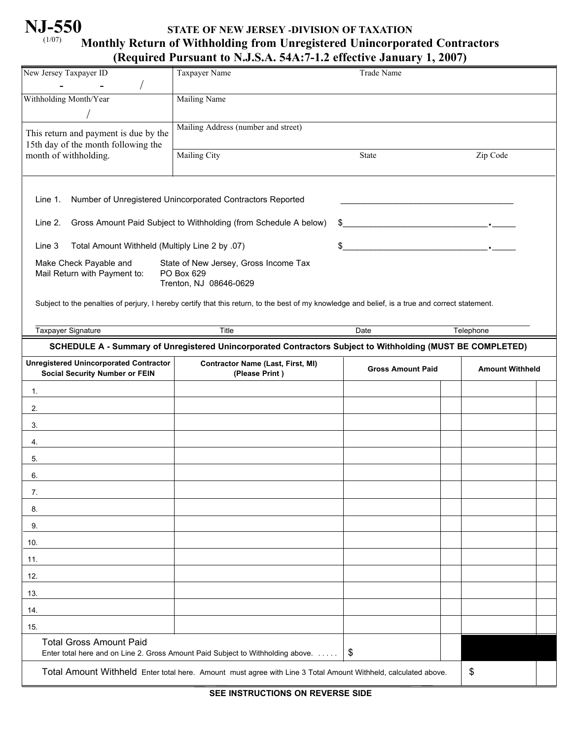# **NJ-550** (1/07)

## **STATE OF NEW JERSEY -DIVISION OF TAXATION Monthly Return of Withholding from Unregistered Unincorporated Contractors (Required Pursuant to N.J.S.A. 54A:7-1.2 effective January 1, 2007)**

|                                                                                                                | $\left($ expansion in summer to region in our internative building $\left($ $\right)$ =007)                                                      |                                                    |           |
|----------------------------------------------------------------------------------------------------------------|--------------------------------------------------------------------------------------------------------------------------------------------------|----------------------------------------------------|-----------|
| New Jersey Taxpayer ID                                                                                         | <b>Taxpayer Name</b>                                                                                                                             | Trade Name                                         |           |
| Withholding Month/Year                                                                                         | <b>Mailing Name</b>                                                                                                                              |                                                    |           |
|                                                                                                                | Mailing Address (number and street)                                                                                                              |                                                    |           |
| This return and payment is due by the<br>15th day of the month following the                                   |                                                                                                                                                  |                                                    |           |
| month of withholding.                                                                                          | Mailing City                                                                                                                                     | State                                              | Zip Code  |
|                                                                                                                |                                                                                                                                                  |                                                    |           |
| Line 1.                                                                                                        | Number of Unregistered Unincorporated Contractors Reported                                                                                       |                                                    |           |
| Line 2.                                                                                                        | Gross Amount Paid Subject to Withholding (from Schedule A below)                                                                                 |                                                    |           |
| Total Amount Withheld (Multiply Line 2 by .07)<br>Line 3                                                       |                                                                                                                                                  | \$                                                 |           |
| Make Check Payable and<br>Mail Return with Payment to:                                                         | State of New Jersey, Gross Income Tax<br>PO Box 629<br>Trenton, NJ 08646-0629                                                                    |                                                    |           |
|                                                                                                                | Subject to the penalties of perjury, I hereby certify that this return, to the best of my knowledge and belief, is a true and correct statement. |                                                    |           |
| Taxpayer Signature                                                                                             | Title                                                                                                                                            | Date                                               | Telephone |
|                                                                                                                | SCHEDULE A - Summary of Unregistered Unincorporated Contractors Subject to Withholding (MUST BE COMPLETED)                                       |                                                    |           |
| <b>Unregistered Unincorporated Contractor</b><br><b>Social Security Number or FEIN</b>                         | <b>Contractor Name (Last, First, MI)</b><br>(Please Print)                                                                                       | <b>Gross Amount Paid</b><br><b>Amount Withheld</b> |           |
| 1.                                                                                                             |                                                                                                                                                  |                                                    |           |
| 2.                                                                                                             |                                                                                                                                                  |                                                    |           |
| 3.                                                                                                             |                                                                                                                                                  |                                                    |           |
| 4.                                                                                                             |                                                                                                                                                  |                                                    |           |
| 5.                                                                                                             |                                                                                                                                                  |                                                    |           |
| 6.                                                                                                             |                                                                                                                                                  |                                                    |           |
| 7.                                                                                                             |                                                                                                                                                  |                                                    |           |
| 8.                                                                                                             |                                                                                                                                                  |                                                    |           |
| 9.                                                                                                             |                                                                                                                                                  |                                                    |           |
| 10.                                                                                                            |                                                                                                                                                  |                                                    |           |
| 11.                                                                                                            |                                                                                                                                                  |                                                    |           |
| 12.                                                                                                            |                                                                                                                                                  |                                                    |           |
| 13.                                                                                                            |                                                                                                                                                  |                                                    |           |
| 14.                                                                                                            |                                                                                                                                                  |                                                    |           |
| 15.                                                                                                            |                                                                                                                                                  |                                                    |           |
| <b>Total Gross Amount Paid</b>                                                                                 | Enter total here and on Line 2. Gross Amount Paid Subject to Withholding above.                                                                  | \$                                                 |           |
| Total Amount Withheld Enter total here. Amount must agree with Line 3 Total Amount Withheld, calculated above. |                                                                                                                                                  |                                                    | \$        |